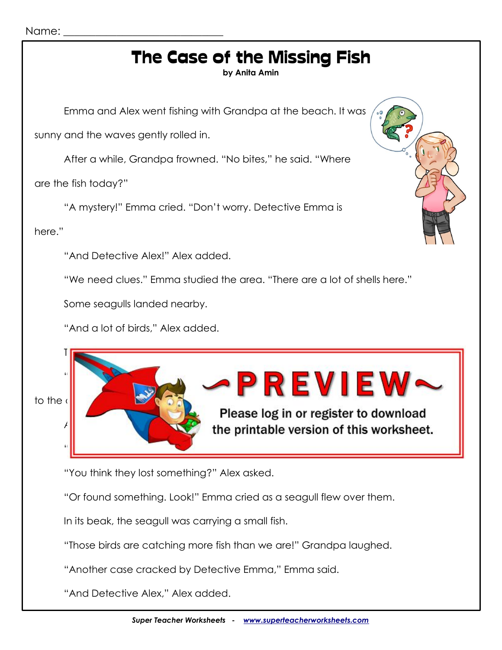#### Name:

# The Case of the Missing Fish

**by Anita Amin**

Emma and Alex went fishing with Grandpa at the beach. It was

sunny and the waves gently rolled in.

After a while, Grandpa frowned. "No bites," he said. "Where

are the fish today?"

"A mystery!" Emma cried. "Don't worry. Detective Emma is

here."

"And Detective Alex!" Alex added.

"We need clues." Emma studied the area. "There are a lot of shells here."

The seagular person at the sand of the sandwich of the sandwich of the sandwich of the ocean. The ocean of the

"Or maybe they're trying to see something *in* the ocean better," Emma said.

Some seagulls landed nearby.

"And a lot of birds," Alex added.





Please log in or register to download the printable version of this worksheet.

"You think they lost something?" Alex asked.

"Or found something. Look!" Emma cried as a seagull flew over them.

In its beak, the seagull was carrying a small fish.

"Those birds are catching more fish than we are!" Grandpa laughed.

"Another case cracked by Detective Emma," Emma said.

"And Detective Alex," Alex added.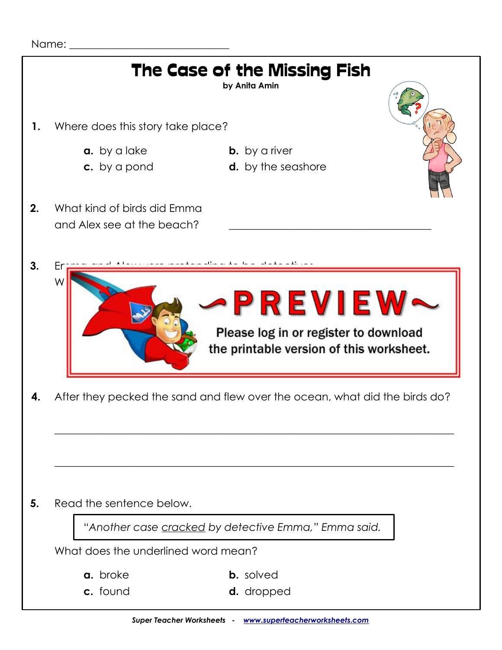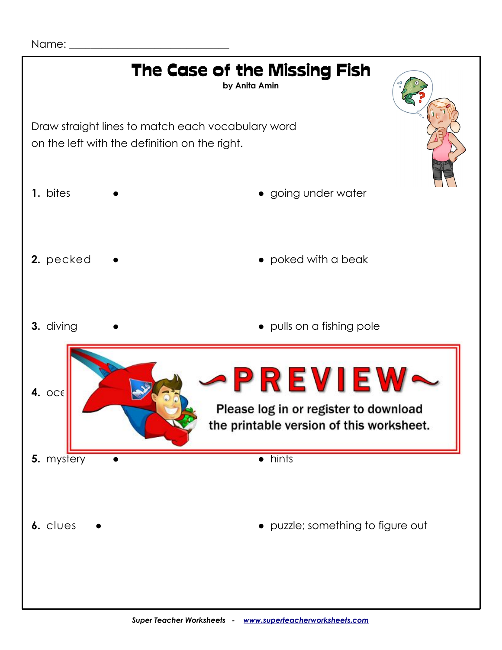

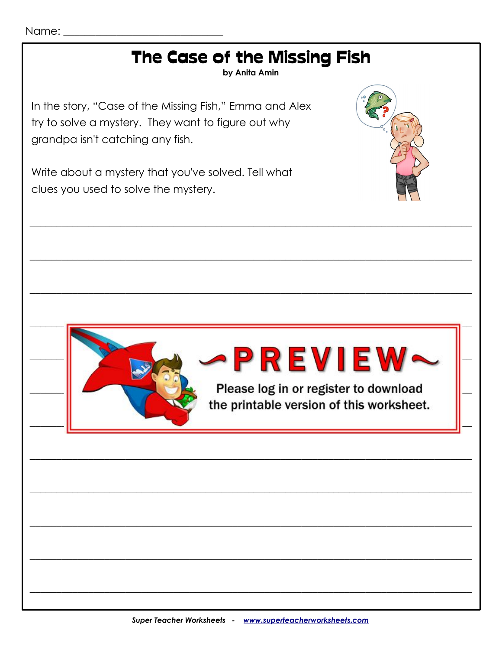## The Case of the Missing Fish

by Anita Amin

In the story, "Case of the Missing Fish," Emma and Alex try to solve a mystery. They want to figure out why grandpa isn't catching any fish.

Write about a mystery that you've solved. Tell what clues you used to solve the mystery.





# **PREVIEW-**

Please log in or register to download the printable version of this worksheet.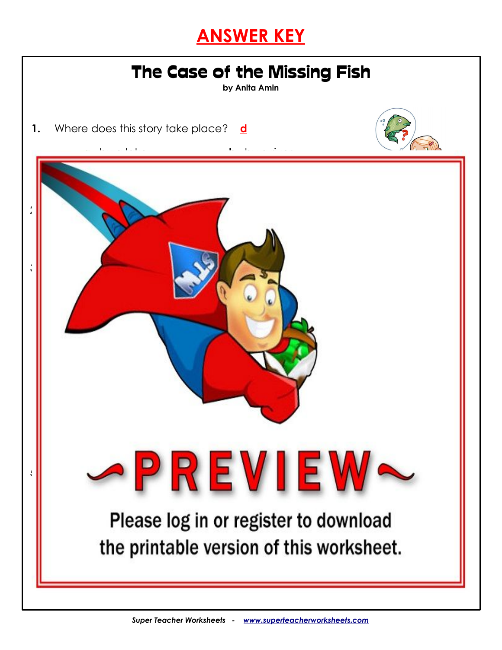### **ANSWER KEY**